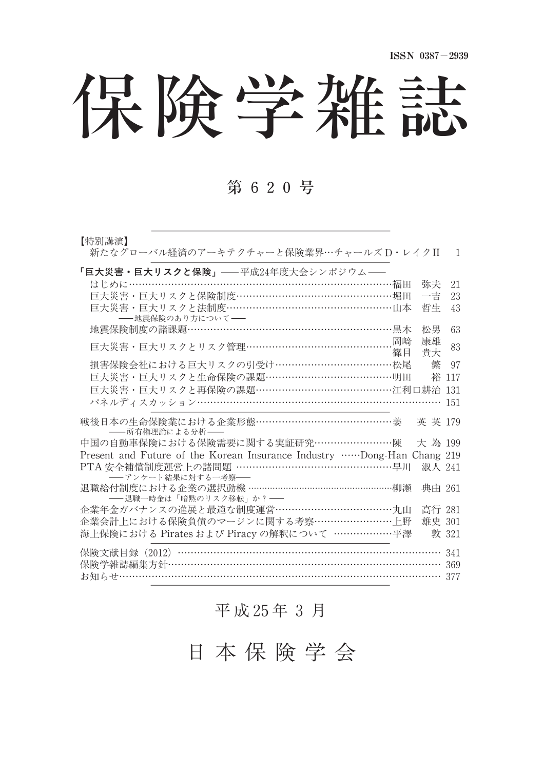# 保険学雑誌

## 第 620号

| 【特別講演】<br>新たなグローバル経済のアーキテクチャーと保険業界…チャールズD・レイクII                        | $\mathbf{1}$ |
|------------------------------------------------------------------------|--------------|
| 「巨大災害・巨大リスクと保険」––平成24年度大会シンポジウム––                                      |              |
| はじめに……………………………………………………………………福田<br>弥夫                                 | 21           |
| 巨大災害・巨大リスクと保険制度…………………………………………堀田<br>一吉                                | 23           |
| 巨大災害・巨大リスクと法制度……………………………………………山本<br>哲生<br>- 地震保険のあり方について–             | 43           |
| 地震保険制度の諸課題………………………………………………………黒木<br>松男                                | 63           |
| 康雄<br>巨大災害・巨大リスクとリスク管理……………………………………………岡﨑                              | 83           |
| - 篠目<br>貴大                                                             |              |
| 損害保険会社における巨大リスクの引受け…………………………………松尾<br>繁                                | 97           |
| 巨大災害・巨大リスクと生命保険の課題…………………………………明田<br>裕                                 | 117          |
| 巨大災害・巨大リスクと再保険の課題………………………………………江利口耕治                                  | 131          |
| パネルディスカッション………………………………………………………………                                    | 151          |
| 戦後日本の生命保険業における企業形態………………………………………姜<br>英英 179<br>--所有権理論による分析-          |              |
| 中国の自動車保険における保険需要に関する実証研究……………………陳<br>大為 199                            |              |
| Present and Future of the Korean Insurance Industry Dong-Han Chang 219 |              |
| PTA 安全補償制度運営上の諸問題 ………………………………………………早川<br>-- アンケート結果に対する一考察--          | 淑人 241       |
| 退職給付制度における企業の選択動機 …………………………………………柳瀬<br>-- 退職一時金は「暗黙のリスク移転」か? -        | 典由 261       |
| 企業年金ガバナンスの進展と最適な制度運営…………………………………丸山                                    | 高行 281       |
| 企業会計上における保険負債のマージンに関する考察………………………上野                                    | 雄史 301       |
| 海上保険における Pirates および Piracy の解釈について ………………平澤                           | 敦 321        |
| 保険文献目録 (2012) ………………………………………………………………………                              | 341          |
| 保険学雑誌編集方針……………………………………………………………………… 369                               |              |
| お知らせ…………………………………………………………………………………… 377                               |              |

## 平 成 25年 3 月

日 本 保 険 学 会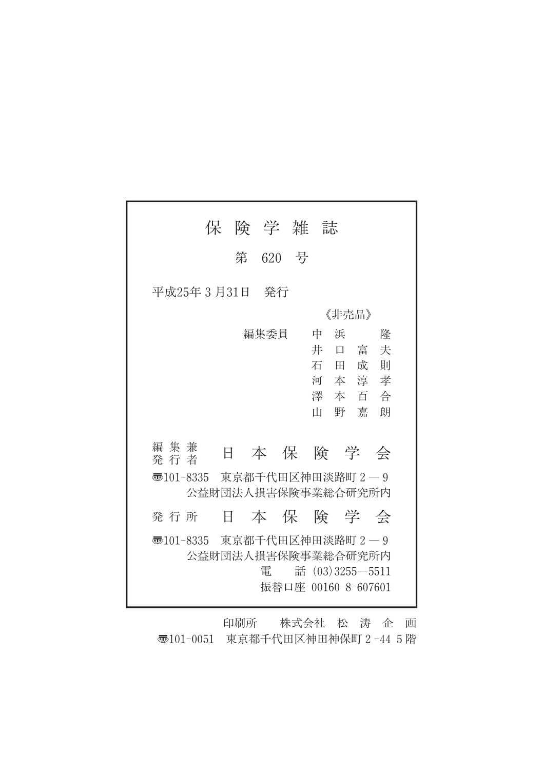|              | 保                  | 険 学 雑 誌          |                     |       |                    |  |
|--------------|--------------------|------------------|---------------------|-------|--------------------|--|
|              | 第                  | 620              | 号                   |       |                    |  |
| 平成25年3月31日   |                    | - 発行             |                     |       |                    |  |
|              |                    |                  |                     | 《非売品》 |                    |  |
|              |                    | 編集委員             | 中                   | 浜     | 降                  |  |
|              |                    |                  | 井                   | 耳     | 富<br>夫             |  |
|              |                    |                  |                     | 石田    | 成<br>一則            |  |
|              |                    |                  |                     |       | 河本淳孝               |  |
|              |                    |                  |                     |       | 澤本百合               |  |
|              |                    |                  | Ш                   | 野     | 嘉<br>朗             |  |
|              |                    |                  |                     |       |                    |  |
| 編集兼<br>発 行 者 | Ħ                  |                  |                     |       | 本 保 険 学 会          |  |
| ক্ত101-8335  |                    | 東京都千代田区神田淡路町 2-9 |                     |       |                    |  |
|              | 公益財団法人損害保険事業総合研究所内 |                  |                     |       |                    |  |
| 発 行 所        | H                  |                  |                     |       | 本保険学会              |  |
| ক্ত101-8335  |                    | 東京都千代田区神田淡路町 2-9 |                     |       |                    |  |
|              | 公益財団法人損害保険事業総合研究所内 |                  |                     |       |                    |  |
|              |                    | 電                |                     |       | 話 (03) 3255 - 5511 |  |
|              |                    |                  | 振替口座 00160-8-607601 |       |                    |  |

印刷所 株式会社 松 涛 企 画 〠101-0051 東京都千代田区神田神保町2-445階